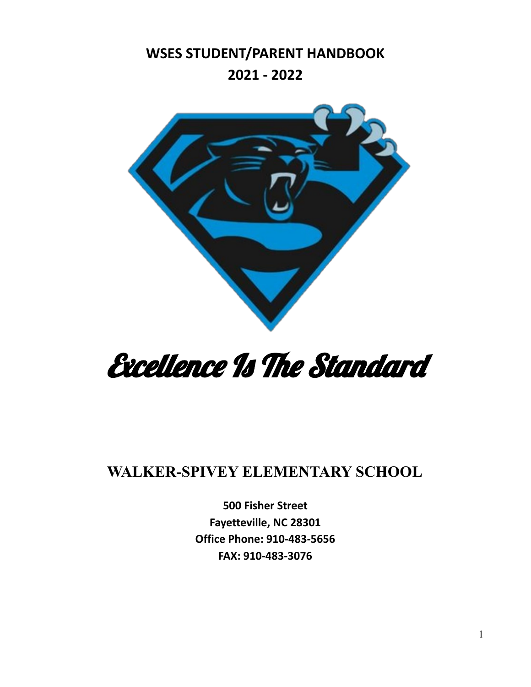**WSES STUDENT/PARENT HANDBOOK 2021 - 2022**



# Excellence Is The Standard

# **WALKER-SPIVEY ELEMENTARY SCHOOL**

**500 Fisher Street Fayetteville, NC 28301 Office Phone: 910-483-5656 FAX: 910-483-3076**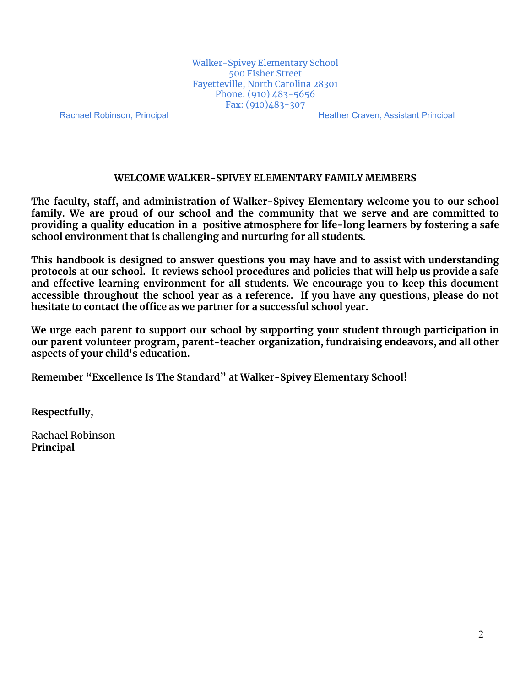Walker-Spivey Elementary School 500 Fisher Street Fayetteville, North Carolina 28301 Phone: (910) 483-5656 Fax: (910)483-307

Rachael Robinson, Principal **Heather Craven, Assistant Principal** Heather Craven, Assistant Principal

#### **WELCOME WALKER-SPIVEY ELEMENTARY FAMILY MEMBERS**

**The faculty, staff, and administration of Walker-Spivey Elementary welcome you to our school family. We are proud of our school and the community that we serve and are committed to providing a quality education in a positive atmosphere for life-long learners by fostering a safe school environment that is challenging and nurturing for all students.**

**This handbook is designed to answer questions you may have and to assist with understanding protocols at our school. It reviews school procedures and policies that will help us provide a safe and effective learning environment for all students. We encourage you to keep this document accessible throughout the school year as a reference. If you have any questions, please do not hesitate to contact the office as we partner for a successful school year.**

**We urge each parent to support our school by supporting your student through participation in our parent volunteer program, parent-teacher organization, fundraising endeavors, and all other aspects of your child's education.**

**Remember "Excellence Is The Standard" at Walker-Spivey Elementary School!**

**Respectfully,**

Rachael Robinson **Principal**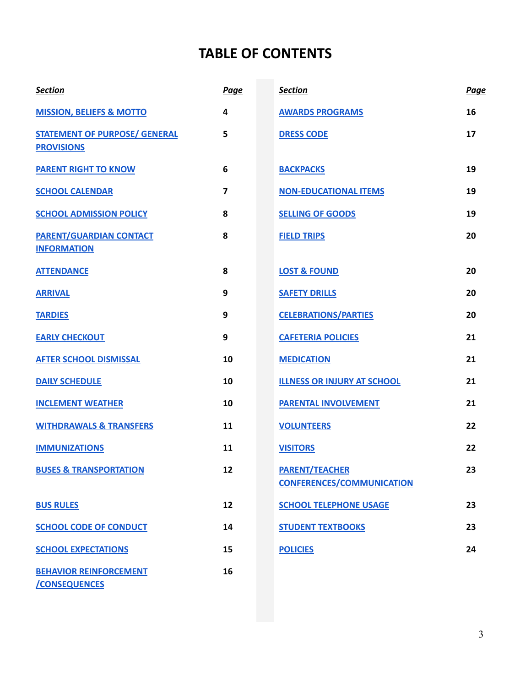## **TABLE OF CONTENTS**

| <b>Section</b>                                            | <b>Page</b>             | <b>Section</b>                                            | Page |
|-----------------------------------------------------------|-------------------------|-----------------------------------------------------------|------|
| <b>MISSION, BELIEFS &amp; MOTTO</b>                       | 4                       | <b>AWARDS PROGRAMS</b>                                    | 16   |
| <b>STATEMENT OF PURPOSE/ GENERAL</b><br><b>PROVISIONS</b> | 5                       | <b>DRESS CODE</b>                                         | 17   |
| <b>PARENT RIGHT TO KNOW</b>                               | 6                       | <b>BACKPACKS</b>                                          | 19   |
| <b>SCHOOL CALENDAR</b>                                    | $\overline{\mathbf{z}}$ | <b>NON-EDUCATIONAL ITEMS</b>                              | 19   |
| <b>SCHOOL ADMISSION POLICY</b>                            | 8                       | <b>SELLING OF GOODS</b>                                   | 19   |
| <b>PARENT/GUARDIAN CONTACT</b><br><b>INFORMATION</b>      | 8                       | <b>FIELD TRIPS</b>                                        | 20   |
| <b>ATTENDANCE</b>                                         | 8                       | <b>LOST &amp; FOUND</b>                                   | 20   |
| <b>ARRIVAL</b>                                            | 9                       | <b>SAFETY DRILLS</b>                                      | 20   |
| <b>TARDIES</b>                                            | 9                       | <b>CELEBRATIONS/PARTIES</b>                               | 20   |
| <b>EARLY CHECKOUT</b>                                     | 9                       | <b>CAFETERIA POLICIES</b>                                 | 21   |
| <b>AFTER SCHOOL DISMISSAL</b>                             | 10                      | <b>MEDICATION</b>                                         | 21   |
| <b>DAILY SCHEDULE</b>                                     | 10                      | <b>ILLNESS OR INJURY AT SCHOOL</b>                        | 21   |
| <b>INCLEMENT WEATHER</b>                                  | 10                      | <b>PARENTAL INVOLVEMENT</b>                               | 21   |
| <b>WITHDRAWALS &amp; TRANSFERS</b>                        | 11                      | <b>VOLUNTEERS</b>                                         | 22   |
| <b>IMMUNIZATIONS</b>                                      | 11                      | <b>VISITORS</b>                                           | 22   |
| <b>BUSES &amp; TRANSPORTATION</b>                         | 12                      | <b>PARENT/TEACHER</b><br><b>CONFERENCES/COMMUNICATION</b> | 23   |
| <b>BUS RULES</b>                                          | 12                      | <b>SCHOOL TELEPHONE USAGE</b>                             | 23   |
| <b>SCHOOL CODE OF CONDUCT</b>                             | 14                      | <b>STUDENT TEXTBOOKS</b>                                  | 23   |
| <b>SCHOOL EXPECTATIONS</b>                                | 15                      | <b>POLICIES</b>                                           | 24   |
| <b>BEHAVIOR REINFORCEMENT</b><br><b>/CONSEQUENCES</b>     | 16                      |                                                           |      |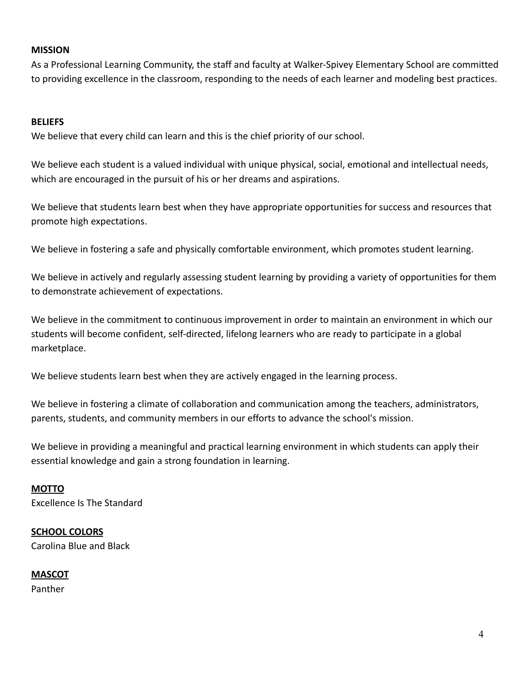#### <span id="page-3-0"></span>**MISSION**

As a Professional Learning Community, the staff and faculty at Walker-Spivey Elementary School are committed to providing excellence in the classroom, responding to the needs of each learner and modeling best practices.

#### **BELIEFS**

We believe that every child can learn and this is the chief priority of our school.

We believe each student is a valued individual with unique physical, social, emotional and intellectual needs, which are encouraged in the pursuit of his or her dreams and aspirations.

We believe that students learn best when they have appropriate opportunities for success and resources that promote high expectations.

We believe in fostering a safe and physically comfortable environment, which promotes student learning.

We believe in actively and regularly assessing student learning by providing a variety of opportunities for them to demonstrate achievement of expectations.

We believe in the commitment to continuous improvement in order to maintain an environment in which our students will become confident, self-directed, lifelong learners who are ready to participate in a global marketplace.

We believe students learn best when they are actively engaged in the learning process.

We believe in fostering a climate of collaboration and communication among the teachers, administrators, parents, students, and community members in our efforts to advance the school's mission.

We believe in providing a meaningful and practical learning environment in which students can apply their essential knowledge and gain a strong foundation in learning.

## **MOTTO**

Excellence Is The Standard

#### **SCHOOL COLORS** Carolina Blue and Black

**MASCOT**

Panther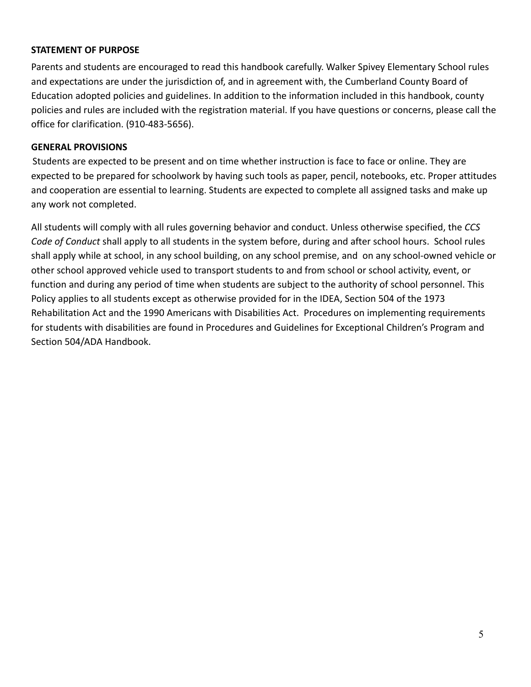#### <span id="page-4-0"></span>**STATEMENT OF PURPOSE**

Parents and students are encouraged to read this handbook carefully. Walker Spivey Elementary School rules and expectations are under the jurisdiction of, and in agreement with, the Cumberland County Board of Education adopted policies and guidelines. In addition to the information included in this handbook, county policies and rules are included with the registration material. If you have questions or concerns, please call the office for clarification. (910-483-5656).

#### **GENERAL PROVISIONS**

Students are expected to be present and on time whether instruction is face to face or online. They are expected to be prepared for schoolwork by having such tools as paper, pencil, notebooks, etc. Proper attitudes and cooperation are essential to learning. Students are expected to complete all assigned tasks and make up any work not completed.

All students will comply with all rules governing behavior and conduct. Unless otherwise specified, the *CCS Code of Conduct* shall apply to all students in the system before, during and after school hours. School rules shall apply while at school, in any school building, on any school premise, and on any school-owned vehicle or other school approved vehicle used to transport students to and from school or school activity, event, or function and during any period of time when students are subject to the authority of school personnel. This Policy applies to all students except as otherwise provided for in the IDEA, Section 504 of the 1973 Rehabilitation Act and the 1990 Americans with Disabilities Act. Procedures on implementing requirements for students with disabilities are found in Procedures and Guidelines for Exceptional Children's Program and Section 504/ADA Handbook.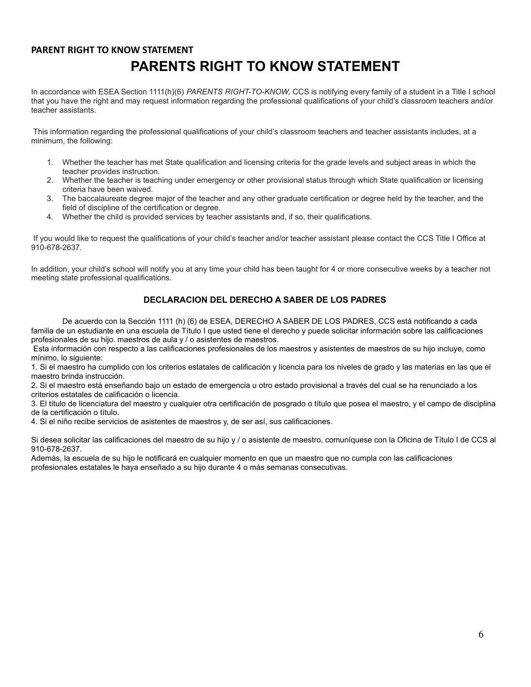## <span id="page-5-0"></span>**PARENT RIGHT TO KNOW STATEMENT PARENTS RIGHT TO KNOW STATEMENT**

In accordance with ESEA Section 1111(h)(6) *PARENTS RIGHT-TO-KNOW,* CCS is notifying every family of a student in a Title I school that you have the right and may request information regarding the professional qualifications of your child's classroom teachers and/or teacher assistants.

This information regarding the professional qualifications of your child's classroom teachers and teacher assistants includes, at a minimum, the following:

- 1. Whether the teacher has met State qualification and licensing criteria for the grade levels and subject areas in which the teacher provides instruction.
- 2. Whether the teacher is teaching under emergency or other provisional status through which State qualification or licensing criteria have been waived.
- 3. The baccalaureate degree major of the teacher and any other graduate certification or degree held by the teacher, and the field of discipline of the certification or degree.
- 4. Whether the child is provided services by teacher assistants and, if so, their qualifications.

If you would like to request the qualifications of your child's teacher and/or teacher assistant please contact the CCS Title I Office at 910-678-2637.

In addition, your child's school will notify you at any time your child has been taught for 4 or more consecutive weeks by a teacher not meeting state professional qualifications.

#### **DECLARACION DEL DERECHO A SABER DE LOS PADRES**

De acuerdo con la Sección 1111 (h) (6) de ESEA, DERECHO A SABER DE LOS PADRES, CCS está notificando a cada familia de un estudiante en una escuela de Título I que usted tiene el derecho y puede solicitar información sobre las calificaciones profesionales de su hijo. maestros de aula y / o asistentes de maestros.

Esta información con respecto a las calificaciones profesionales de los maestros y asistentes de maestros de su hijo incluye, como mínimo, lo siguiente:

1. Si el maestro ha cumplido con los criterios estatales de calificación y licencia para los niveles de grado y las materias en las que el maestro brinda instrucción.

2. Si el maestro está enseñando bajo un estado de emergencia u otro estado provisional a través del cual se ha renunciado a los criterios estatales de calificación o licencia.

3. El título de licenciatura del maestro y cualquier otra certificación de posgrado o título que posea el maestro, y el campo de disciplina de la certificación o título.

4. Si el niño recibe servicios de asistentes de maestros y, de ser así, sus calificaciones.

Si desea solicitar las calificaciones del maestro de su hijo y / o asistente de maestro, comuníquese con la Oficina de Título I de CCS al 910-678-2637.

Además, la escuela de su hijo le notificará en cualquier momento en que un maestro que no cumpla con las calificaciones profesionales estatales le haya enseñado a su hijo durante 4 o más semanas consecutivas.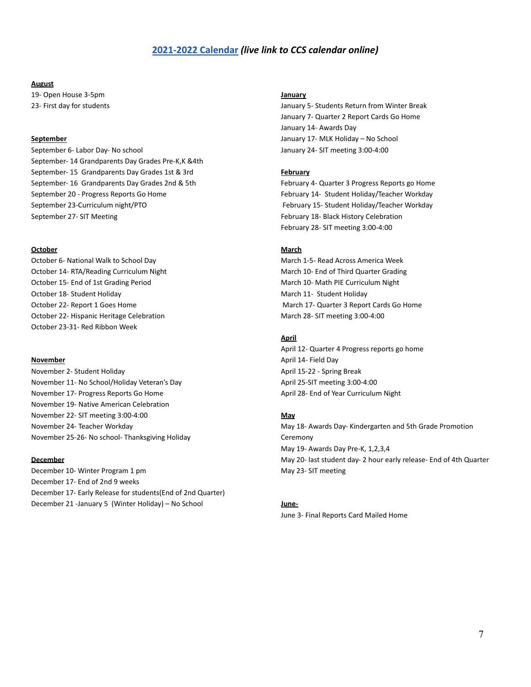#### **[2021-2022 Calendar](https://drive.google.com/file/d/1Dvr3IySf7pswANUZLqK4i_iTXoqrVwUa/view?usp=sharing)** *(live link to CCS calendar online)*

#### **August**

19- Open House 3-5pm 23- First day for students

#### **September**

September 6- Labor Day- No school September- 14 Grandparents Day Grades Pre-K,K &4th September- 15 Grandparents Day Grades 1st & 3rd September- 16 Grandparents Day Grades 2nd & 5th September 20 - Progress Reports Go Home September 23-Curriculum night/PTO September 27- SIT Meeting

#### **October**

October 6- National Walk to School Day October 14- RTA/Reading Curriculum Night October 15- End of 1st Grading Period October 18- Student Holiday October 22- Report 1 Goes Home October 22- Hispanic Heritage Celebration October 23-31- Red Ribbon Week

#### **November**

November 2- Student Holiday November 11- No School/Holiday Veteran's Day November 17- Progress Reports Go Home November 19- Native American Celebration November 22- SIT meeting 3:00-4:00 November 24- Teacher Workday November 25-26- No school- Thanksgiving Holiday

#### **December**

December 10- Winter Program 1 pm December 17- End of 2nd 9 weeks December 17- Early Release for students(End of 2nd Quarter) December 21 -January 5 (Winter Holiday) – No School

#### **January**

January 5- Students Return from Winter Break January 7- Quarter 2 Report Cards Go Home January 14- Awards Day January 17- MLK Holiday – No School January 24- SIT meeting 3:00-4:00

#### **February**

February 4- Quarter 3 Progress Reports go Home February 14- Student Holiday/Teacher Workday February 15- Student Holiday/Teacher Workday February 18- Black History Celebration February 28- SIT meeting 3:00-4:00

#### **March**

March 1-5- Read Across America Week March 10- End of Third Quarter Grading March 10- Math PIE Curriculum Night March 11- Student Holiday March 17- Quarter 3 Report Cards Go Home March 28- SIT meeting 3:00-4:00

#### **April**

April 12- Quarter 4 Progress reports go home April 14- Field Day April 15-22 - Spring Break April 25-SIT meeting 3:00-4:00 April 28- End of Year Curriculum Night

#### **May**

May 18- Awards Day- Kindergarten and 5th Grade Promotion Ceremony May 19- Awards Day Pre-K, 1,2,3,4 May 20- last student day- 2 hour early release- End of 4th Quarter May 23- SIT meeting

#### **June-**

June 3- Final Reports Card Mailed Home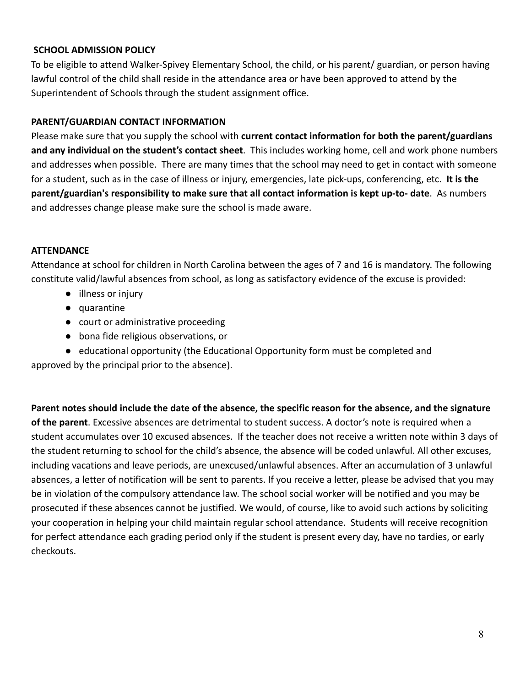## <span id="page-7-0"></span>**SCHOOL ADMISSION POLICY**

To be eligible to attend Walker-Spivey Elementary School, the child, or his parent/ guardian, or person having lawful control of the child shall reside in the attendance area or have been approved to attend by the Superintendent of Schools through the student assignment office.

## **PARENT/GUARDIAN CONTACT INFORMATION**

Please make sure that you supply the school with **current contact information for both the parent/guardians and any individual on the student's contact sheet**. This includes working home, cell and work phone numbers and addresses when possible. There are many times that the school may need to get in contact with someone for a student, such as in the case of illness or injury, emergencies, late pick-ups, conferencing, etc. **It is the parent/guardian's responsibility to make sure that all contact information is kept up-to- date**. As numbers and addresses change please make sure the school is made aware.

## **ATTENDANCE**

Attendance at school for children in North Carolina between the ages of 7 and 16 is mandatory. The following constitute valid/lawful absences from school, as long as satisfactory evidence of the excuse is provided:

- illness or injury
- quarantine
- court or administrative proceeding
- bona fide religious observations, or
- educational opportunity (the Educational Opportunity form must be completed and

approved by the principal prior to the absence).

**Parent notes should include the date of the absence, the specific reason for the absence, and the signature of the parent**. Excessive absences are detrimental to student success. A doctor's note is required when a student accumulates over 10 excused absences. If the teacher does not receive a written note within 3 days of the student returning to school for the child's absence, the absence will be coded unlawful. All other excuses, including vacations and leave periods, are unexcused/unlawful absences. After an accumulation of 3 unlawful absences, a letter of notification will be sent to parents. If you receive a letter, please be advised that you may be in violation of the compulsory attendance law. The school social worker will be notified and you may be prosecuted if these absences cannot be justified. We would, of course, like to avoid such actions by soliciting your cooperation in helping your child maintain regular school attendance. Students will receive recognition for perfect attendance each grading period only if the student is present every day, have no tardies, or early checkouts.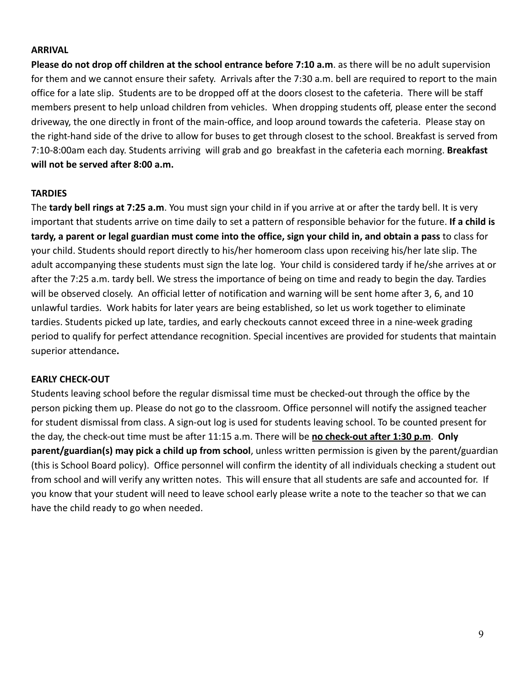#### <span id="page-8-0"></span>**ARRIVAL**

**Please do not drop off children at the school entrance before 7:10 a.m**. as there will be no adult supervision for them and we cannot ensure their safety. Arrivals after the 7:30 a.m. bell are required to report to the main office for a late slip. Students are to be dropped off at the doors closest to the cafeteria. There will be staff members present to help unload children from vehicles. When dropping students off, please enter the second driveway, the one directly in front of the main-office, and loop around towards the cafeteria. Please stay on the right-hand side of the drive to allow for buses to get through closest to the school. Breakfast is served from 7:10-8:00am each day. Students arriving will grab and go breakfast in the cafeteria each morning. **Breakfast will not be served after 8:00 a.m.**

## **TARDIES**

The **tardy bell rings at 7:25 a.m**. You must sign your child in if you arrive at or after the tardy bell. It is very important that students arrive on time daily to set a pattern of responsible behavior for the future. **If a child is tardy, a parent or legal guardian must come into the office, sign your child in, and obtain a pass** to class for your child. Students should report directly to his/her homeroom class upon receiving his/her late slip. The adult accompanying these students must sign the late log. Your child is considered tardy if he/she arrives at or after the 7:25 a.m. tardy bell. We stress the importance of being on time and ready to begin the day. Tardies will be observed closely. An official letter of notification and warning will be sent home after 3, 6, and 10 unlawful tardies. Work habits for later years are being established, so let us work together to eliminate tardies. Students picked up late, tardies, and early checkouts cannot exceed three in a nine-week grading period to qualify for perfect attendance recognition. Special incentives are provided for students that maintain superior attendance**.**

#### **EARLY CHECK-OUT**

Students leaving school before the regular dismissal time must be checked-out through the office by the person picking them up. Please do not go to the classroom. Office personnel will notify the assigned teacher for student dismissal from class. A sign-out log is used for students leaving school. To be counted present for the day, the check-out time must be after 11:15 a.m. There will be **no check-out after 1:30 p.m**. **Only parent/guardian(s) may pick a child up from school**, unless written permission is given by the parent/guardian (this is School Board policy). Office personnel will confirm the identity of all individuals checking a student out from school and will verify any written notes. This will ensure that all students are safe and accounted for. If you know that your student will need to leave school early please write a note to the teacher so that we can have the child ready to go when needed.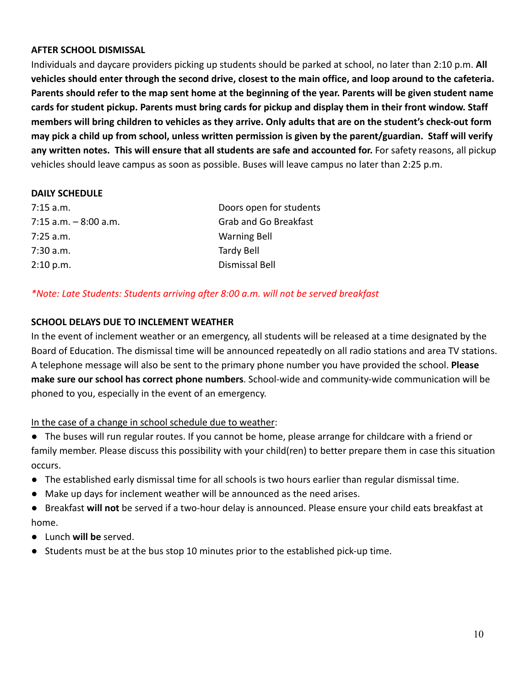#### <span id="page-9-0"></span>**AFTER SCHOOL DISMISSAL**

Individuals and daycare providers picking up students should be parked at school, no later than 2:10 p.m. **All vehicles should enter through the second drive, closest to the main office, and loop around to the cafeteria. Parents should refer to the map sent home at the beginning of the year. Parents will be given student name cards for student pickup. Parents must bring cards for pickup and display them in their front window. Staff members will bring children to vehicles as they arrive. Only adults that are on the student's check-out form may pick a child up from school, unless written permission is given by the parent/guardian. Staff will verify any written notes. This will ensure that all students are safe and accounted for.** For safety reasons, all pickup vehicles should leave campus as soon as possible. Buses will leave campus no later than 2:25 p.m.

#### **DAILY SCHEDULE**

| $7:15$ a.m.              | Doors open for students      |
|--------------------------|------------------------------|
| $7:15$ a.m. $-8:00$ a.m. | <b>Grab and Go Breakfast</b> |
| $7:25$ a.m.              | <b>Warning Bell</b>          |
| $7:30$ a.m.              | <b>Tardy Bell</b>            |
| 2:10 p.m.                | Dismissal Bell               |

## *\*Note: Late Students: Students arriving after 8:00 a.m. will not be served breakfast*

## **SCHOOL DELAYS DUE TO INCLEMENT WEATHER**

In the event of inclement weather or an emergency, all students will be released at a time designated by the Board of Education. The dismissal time will be announced repeatedly on all radio stations and area TV stations. A telephone message will also be sent to the primary phone number you have provided the school. **Please make sure our school has correct phone numbers**. School-wide and community-wide communication will be phoned to you, especially in the event of an emergency.

## In the case of a change in school schedule due to weather:

- The buses will run regular routes. If you cannot be home, please arrange for childcare with a friend or family member. Please discuss this possibility with your child(ren) to better prepare them in case this situation occurs.
- The established early dismissal time for all schools is two hours earlier than regular dismissal time.
- Make up days for inclement weather will be announced as the need arises.
- Breakfast **will not** be served if a two-hour delay is announced. Please ensure your child eats breakfast at home.
- Lunch **will be** served.
- Students must be at the bus stop 10 minutes prior to the established pick-up time.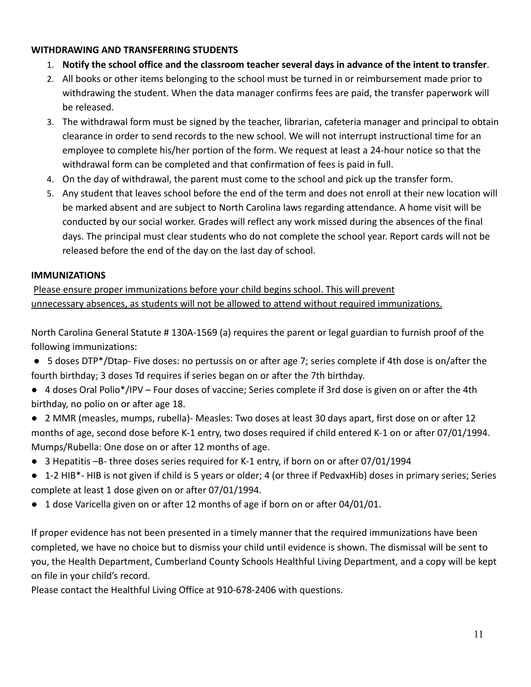## <span id="page-10-0"></span>**WITHDRAWING AND TRANSFERRING STUDENTS**

- 1. **Notify the school office and the classroom teacher several days in advance of the intent to transfer**.
- 2. All books or other items belonging to the school must be turned in or reimbursement made prior to withdrawing the student. When the data manager confirms fees are paid, the transfer paperwork will be released.
- 3. The withdrawal form must be signed by the teacher, librarian, cafeteria manager and principal to obtain clearance in order to send records to the new school. We will not interrupt instructional time for an employee to complete his/her portion of the form. We request at least a 24-hour notice so that the withdrawal form can be completed and that confirmation of fees is paid in full.
- 4. On the day of withdrawal, the parent must come to the school and pick up the transfer form.
- 5. Any student that leaves school before the end of the term and does not enroll at their new location will be marked absent and are subject to North Carolina laws regarding attendance. A home visit will be conducted by our social worker. Grades will reflect any work missed during the absences of the final days. The principal must clear students who do not complete the school year. Report cards will not be released before the end of the day on the last day of school.

## **IMMUNIZATIONS**

Please ensure proper immunizations before your child begins school. This will prevent unnecessary absences, as students will not be allowed to attend without required immunizations.

North Carolina General Statute # 130A-1569 (a) requires the parent or legal guardian to furnish proof of the following immunizations:

- 5 doses DTP\*/Dtap- Five doses: no pertussis on or after age 7; series complete if 4th dose is on/after the fourth birthday; 3 doses Td requires if series began on or after the 7th birthday.
- 4 doses Oral Polio\*/IPV Four doses of vaccine; Series complete if 3rd dose is given on or after the 4th birthday, no polio on or after age 18.
- 2 MMR (measles, mumps, rubella)- Measles: Two doses at least 30 days apart, first dose on or after 12 months of age, second dose before K-1 entry, two doses required if child entered K-1 on or after 07/01/1994. Mumps/Rubella: One dose on or after 12 months of age.
- 3 Hepatitis –B- three doses series required for K-1 entry, if born on or after 07/01/1994
- 1-2 HIB\*- HIB is not given if child is 5 years or older; 4 (or three if PedvaxHib) doses in primary series; Series complete at least 1 dose given on or after 07/01/1994.
- 1 dose Varicella given on or after 12 months of age if born on or after 04/01/01.

If proper evidence has not been presented in a timely manner that the required immunizations have been completed, we have no choice but to dismiss your child until evidence is shown. The dismissal will be sent to you, the Health Department, Cumberland County Schools Healthful Living Department, and a copy will be kept on file in your child's record.

Please contact the Healthful Living Office at 910-678-2406 with questions.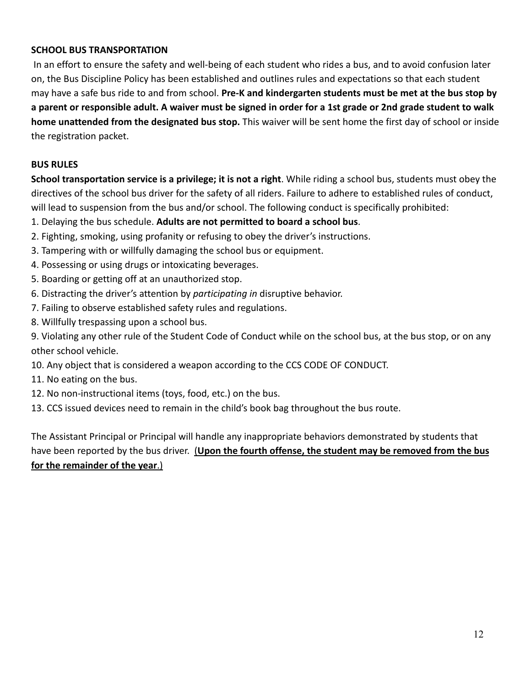## <span id="page-11-0"></span>**SCHOOL BUS TRANSPORTATION**

In an effort to ensure the safety and well-being of each student who rides a bus, and to avoid confusion later on, the Bus Discipline Policy has been established and outlines rules and expectations so that each student may have a safe bus ride to and from school. **Pre-K and kindergarten students must be met at the bus stop by a parent or responsible adult. A waiver must be signed in order for a 1st grade or 2nd grade student to walk home unattended from the designated bus stop.** This waiver will be sent home the first day of school or inside the registration packet.

#### **BUS RULES**

**School transportation service is a privilege; it is not a right**. While riding a school bus, students must obey the directives of the school bus driver for the safety of all riders. Failure to adhere to established rules of conduct, will lead to suspension from the bus and/or school. The following conduct is specifically prohibited:

1. Delaying the bus schedule. **Adults are not permitted to board a school bus**.

- 2. Fighting, smoking, using profanity or refusing to obey the driver's instructions.
- 3. Tampering with or willfully damaging the school bus or equipment.
- 4. Possessing or using drugs or intoxicating beverages.
- 5. Boarding or getting off at an unauthorized stop.
- 6. Distracting the driver's attention by *participating in* disruptive behavior.
- 7. Failing to observe established safety rules and regulations.
- 8. Willfully trespassing upon a school bus.

9. Violating any other rule of the Student Code of Conduct while on the school bus, at the bus stop, or on any other school vehicle.

- 10. Any object that is considered a weapon according to the CCS CODE OF CONDUCT.
- 11. No eating on the bus.
- 12. No non-instructional items (toys, food, etc.) on the bus.
- 13. CCS issued devices need to remain in the child's book bag throughout the bus route.

The Assistant Principal or Principal will handle any inappropriate behaviors demonstrated by students that have been reported by the bus driver. (**Upon the fourth offense, the student may be removed from the bus for the remainder of the year**.)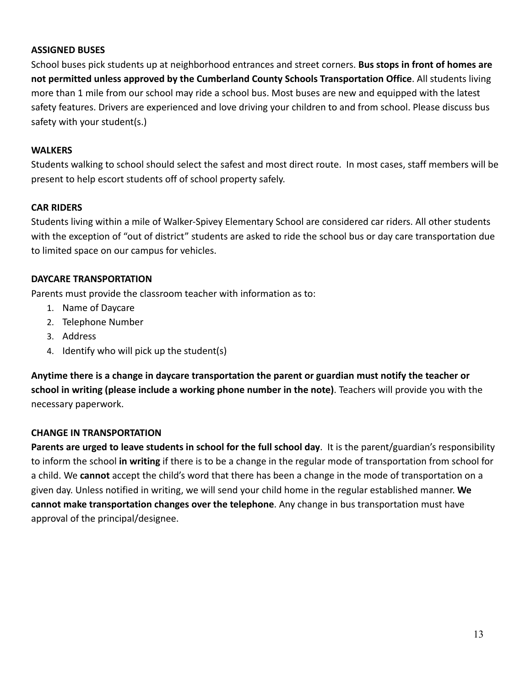#### **ASSIGNED BUSES**

School buses pick students up at neighborhood entrances and street corners. **Bus stops in front of homes are not permitted unless approved by the Cumberland County Schools Transportation Office**. All students living more than 1 mile from our school may ride a school bus. Most buses are new and equipped with the latest safety features. Drivers are experienced and love driving your children to and from school. Please discuss bus safety with your student(s.)

#### **WALKERS**

Students walking to school should select the safest and most direct route. In most cases, staff members will be present to help escort students off of school property safely.

#### **CAR RIDERS**

Students living within a mile of Walker-Spivey Elementary School are considered car riders. All other students with the exception of "out of district" students are asked to ride the school bus or day care transportation due to limited space on our campus for vehicles.

#### **DAYCARE TRANSPORTATION**

Parents must provide the classroom teacher with information as to:

- 1. Name of Daycare
- 2. Telephone Number
- 3. Address
- 4. Identify who will pick up the student(s)

**Anytime there is a change in daycare transportation the parent or guardian must notify the teacher or school in writing (please include a working phone number in the note)**. Teachers will provide you with the necessary paperwork.

## **CHANGE IN TRANSPORTATION**

**Parents are urged to leave students in school for the full school day**. It is the parent/guardian's responsibility to inform the school **in writing** if there is to be a change in the regular mode of transportation from school for a child. We **cannot** accept the child's word that there has been a change in the mode of transportation on a given day. Unless notified in writing, we will send your child home in the regular established manner. **We cannot make transportation changes over the telephone**. Any change in bus transportation must have approval of the principal/designee.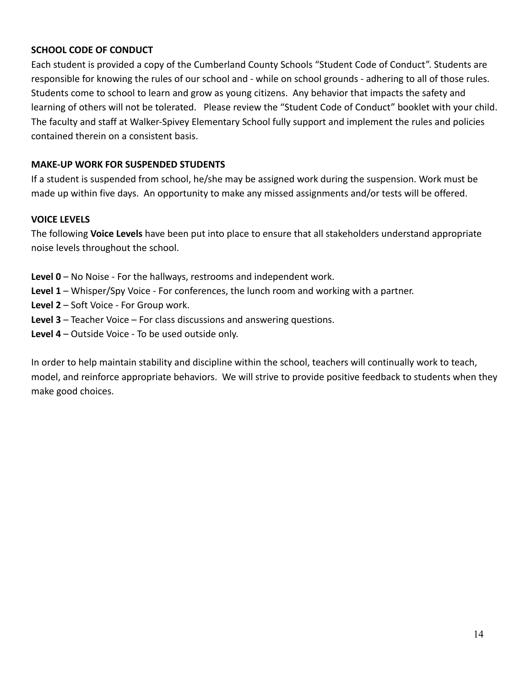#### **SCHOOL CODE OF CONDUCT**

Each student is provided a copy of the Cumberland County Schools "Student Code of Conduct". Students are responsible for knowing the rules of our school and - while on school grounds - adhering to all of those rules. Students come to school to learn and grow as young citizens. Any behavior that impacts the safety and learning of others will not be tolerated. Please review the "Student Code of Conduct" booklet with your child. The faculty and staff at Walker-Spivey Elementary School fully support and implement the rules and policies contained therein on a consistent basis.

## **MAKE-UP WORK FOR SUSPENDED STUDENTS**

If a student is suspended from school, he/she may be assigned work during the suspension. Work must be made up within five days. An opportunity to make any missed assignments and/or tests will be offered.

#### **VOICE LEVELS**

The following **Voice Levels** have been put into place to ensure that all stakeholders understand appropriate noise levels throughout the school.

- **Level 0** No Noise For the hallways, restrooms and independent work.
- **Level 1** Whisper/Spy Voice For conferences, the lunch room and working with a partner.
- **Level 2** Soft Voice For Group work.
- **Level 3** Teacher Voice For class discussions and answering questions.
- **Level 4** Outside Voice To be used outside only.

In order to help maintain stability and discipline within the school, teachers will continually work to teach, model, and reinforce appropriate behaviors. We will strive to provide positive feedback to students when they make good choices.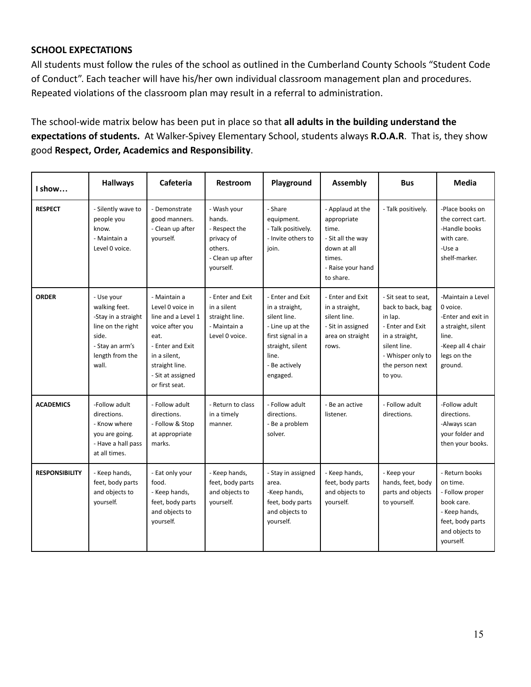#### **SCHOOL EXPECTATIONS**

All students must follow the rules of the school as outlined in the Cumberland County Schools "Student Code of Conduct". Each teacher will have his/her own individual classroom management plan and procedures. Repeated violations of the classroom plan may result in a referral to administration.

The school-wide matrix below has been put in place so that **all adults in the building understand the expectations of students.** At Walker-Spivey Elementary School, students always **R.O.A.R**. That is, they show good **Respect, Order, Academics and Responsibility**.

| I show                | <b>Hallways</b>                                                                                                                 | Cafeteria                                                                                                                                                                      | Restroom                                                                                         | Playground                                                                                                                                            | Assembly                                                                                                                 | <b>Bus</b>                                                                                                                                                   | <b>Media</b>                                                                                                                      |
|-----------------------|---------------------------------------------------------------------------------------------------------------------------------|--------------------------------------------------------------------------------------------------------------------------------------------------------------------------------|--------------------------------------------------------------------------------------------------|-------------------------------------------------------------------------------------------------------------------------------------------------------|--------------------------------------------------------------------------------------------------------------------------|--------------------------------------------------------------------------------------------------------------------------------------------------------------|-----------------------------------------------------------------------------------------------------------------------------------|
| <b>RESPECT</b>        | - Silently wave to<br>people you<br>know.<br>- Maintain a<br>Level 0 voice.                                                     | - Demonstrate<br>good manners.<br>- Clean up after<br>yourself.                                                                                                                | - Wash vour<br>hands.<br>- Respect the<br>privacy of<br>others.<br>- Clean up after<br>yourself. | - Share<br>equipment.<br>- Talk positively.<br>- Invite others to<br>join.                                                                            | - Applaud at the<br>appropriate<br>time.<br>- Sit all the way<br>down at all<br>times.<br>- Raise your hand<br>to share. | - Talk positively.                                                                                                                                           | -Place books on<br>the correct cart.<br>-Handle books<br>with care.<br>-Use a<br>shelf-marker.                                    |
| <b>ORDER</b>          | - Use your<br>walking feet.<br>-Stay in a straight<br>line on the right<br>side.<br>- Stay an arm's<br>length from the<br>wall. | - Maintain a<br>Level 0 voice in<br>line and a Level 1<br>voice after you<br>eat.<br>- Enter and Exit<br>in a silent,<br>straight line.<br>- Sit at assigned<br>or first seat. | - Enter and Exit<br>in a silent<br>straight line.<br>- Maintain a<br>Level 0 voice.              | - Enter and Exit<br>in a straight,<br>silent line.<br>- Line up at the<br>first signal in a<br>straight, silent<br>line.<br>- Be actively<br>engaged. | - Enter and Exit<br>in a straight,<br>silent line.<br>- Sit in assigned<br>area on straight<br>rows.                     | - Sit seat to seat.<br>back to back, bag<br>in lap.<br>- Enter and Exit<br>in a straight,<br>silent line.<br>- Whisper only to<br>the person next<br>to you. | -Maintain a Level<br>0 voice.<br>-Enter and exit in<br>a straight, silent<br>line.<br>-Keep all 4 chair<br>legs on the<br>ground. |
| <b>ACADEMICS</b>      | -Follow adult<br>directions.<br>- Know where<br>you are going.<br>- Have a hall pass<br>at all times.                           | - Follow adult<br>directions.<br>- Follow & Stop<br>at appropriate<br>marks.                                                                                                   | - Return to class<br>in a timely<br>manner.                                                      | - Follow adult<br>directions.<br>- Be a problem<br>solver.                                                                                            | - Be an active<br>listener.                                                                                              | - Follow adult<br>directions.                                                                                                                                | -Follow adult<br>directions.<br>-Always scan<br>your folder and<br>then your books.                                               |
| <b>RESPONSIBILITY</b> | - Keep hands,<br>feet, body parts<br>and objects to<br>yourself.                                                                | - Eat only your<br>food.<br>- Keep hands,<br>feet, body parts<br>and objects to<br>yourself.                                                                                   | - Keep hands,<br>feet, body parts<br>and objects to<br>yourself.                                 | - Stay in assigned<br>area.<br>-Keep hands,<br>feet, body parts<br>and objects to<br>vourself.                                                        | - Keep hands,<br>feet, body parts<br>and objects to<br>yourself.                                                         | - Keep your<br>hands, feet, body<br>parts and objects<br>to yourself.                                                                                        | - Return books<br>on time.<br>- Follow proper<br>book care.<br>- Keep hands,<br>feet, body parts<br>and objects to<br>vourself.   |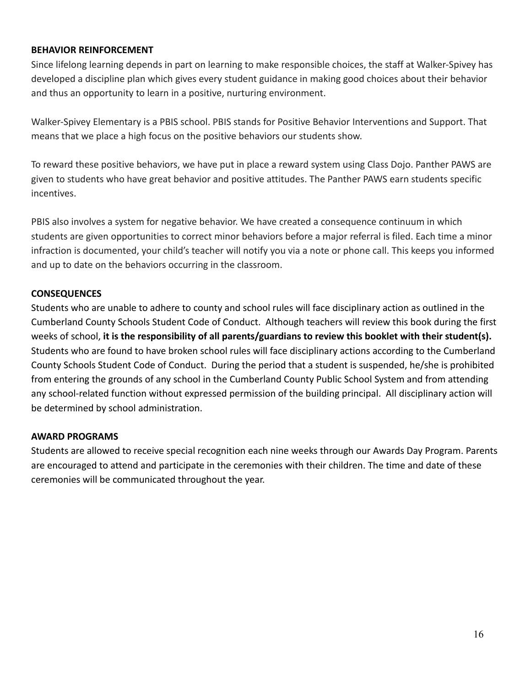#### **BEHAVIOR REINFORCEMENT**

Since lifelong learning depends in part on learning to make responsible choices, the staff at Walker-Spivey has developed a discipline plan which gives every student guidance in making good choices about their behavior and thus an opportunity to learn in a positive, nurturing environment.

Walker-Spivey Elementary is a PBIS school. PBIS stands for Positive Behavior Interventions and Support. That means that we place a high focus on the positive behaviors our students show.

To reward these positive behaviors, we have put in place a reward system using Class Dojo. Panther PAWS are given to students who have great behavior and positive attitudes. The Panther PAWS earn students specific incentives.

PBIS also involves a system for negative behavior. We have created a consequence continuum in which students are given opportunities to correct minor behaviors before a major referral is filed. Each time a minor infraction is documented, your child's teacher will notify you via a note or phone call. This keeps you informed and up to date on the behaviors occurring in the classroom.

## **CONSEQUENCES**

Students who are unable to adhere to county and school rules will face disciplinary action as outlined in the Cumberland County Schools Student Code of Conduct. Although teachers will review this book during the first weeks of school, **it is the responsibility of all parents/guardians to review this booklet with their student(s).** Students who are found to have broken school rules will face disciplinary actions according to the Cumberland County Schools Student Code of Conduct. During the period that a student is suspended, he/she is prohibited from entering the grounds of any school in the Cumberland County Public School System and from attending any school-related function without expressed permission of the building principal. All disciplinary action will be determined by school administration.

## <span id="page-15-0"></span>**AWARD PROGRAMS**

Students are allowed to receive special recognition each nine weeks through our Awards Day Program. Parents are encouraged to attend and participate in the ceremonies with their children. The time and date of these ceremonies will be communicated throughout the year.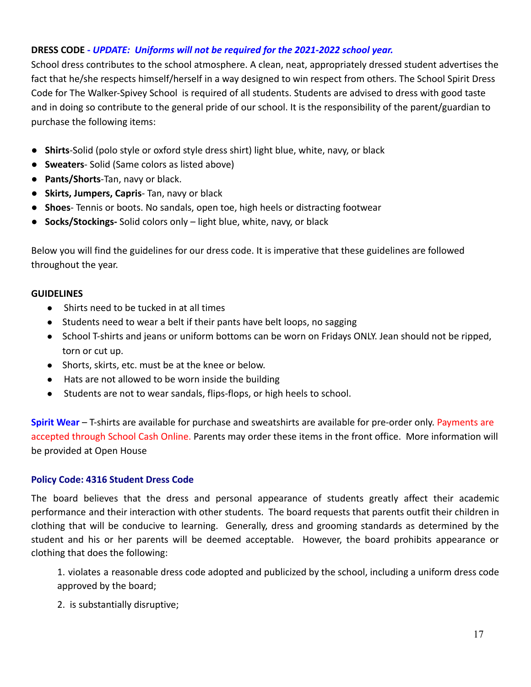## <span id="page-16-0"></span>**DRESS CODE -** *UPDATE: Uniforms will not be required for the 2021-2022 school year.*

School dress contributes to the school atmosphere. A clean, neat, appropriately dressed student advertises the fact that he/she respects himself/herself in a way designed to win respect from others. The School Spirit Dress Code for The Walker-Spivey School is required of all students. Students are advised to dress with good taste and in doing so contribute to the general pride of our school. It is the responsibility of the parent/guardian to purchase the following items:

- **Shirts**-Solid (polo style or oxford style dress shirt) light blue, white, navy, or black
- **Sweaters** Solid (Same colors as listed above)
- **Pants/Shorts**-Tan, navy or black.
- **Skirts, Jumpers, Capris** Tan, navy or black
- **Shoes** Tennis or boots. No sandals, open toe, high heels or distracting footwear
- **Socks/Stockings-** Solid colors only light blue, white, navy, or black

Below you will find the guidelines for our dress code. It is imperative that these guidelines are followed throughout the year.

## **GUIDELINES**

- Shirts need to be tucked in at all times
- Students need to wear a belt if their pants have belt loops, no sagging
- School T-shirts and jeans or uniform bottoms can be worn on Fridays ONLY. Jean should not be ripped, torn or cut up.
- Shorts, skirts, etc. must be at the knee or below.
- Hats are not allowed to be worn inside the building
- Students are not to wear sandals, flips-flops, or high heels to school.

**Spirit Wear** – T-shirts are available for purchase and sweatshirts are available for pre-order only. Payments are accepted through School Cash Online. Parents may order these items in the front office. More information will be provided at Open House

## **Policy Code: 4316 Student Dress Code**

The board believes that the dress and personal appearance of students greatly affect their academic performance and their interaction with other students. The board requests that parents outfit their children in clothing that will be conducive to learning. Generally, dress and grooming standards as determined by the student and his or her parents will be deemed acceptable. However, the board prohibits appearance or clothing that does the following:

1. violates a reasonable dress code adopted and publicized by the school, including a uniform dress code approved by the board;

2. is substantially disruptive;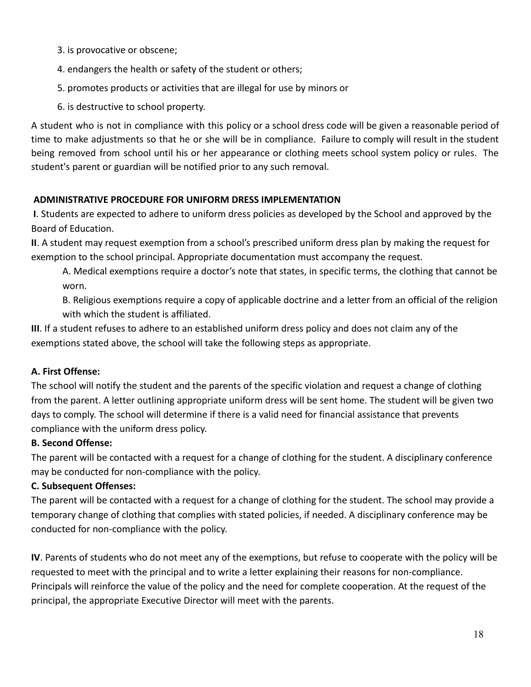- 3. is provocative or obscene;
- 4. endangers the health or safety of the student or others;
- 5. promotes products or activities that are illegal for use by minors or
- 6. is destructive to school property.

A student who is not in compliance with this policy or a school dress code will be given a reasonable period of time to make adjustments so that he or she will be in compliance. Failure to comply will result in the student being removed from school until his or her appearance or clothing meets school system policy or rules. The student's parent or guardian will be notified prior to any such removal.

## <span id="page-17-0"></span>**ADMINISTRATIVE PROCEDURE FOR UNIFORM DRESS IMPLEMENTATION**

**I**. Students are expected to adhere to uniform dress policies as developed by the School and approved by the Board of Education.

**II**. A student may request exemption from a school's prescribed uniform dress plan by making the request for exemption to the school principal. Appropriate documentation must accompany the request.

A. Medical exemptions require a doctor's note that states, in specific terms, the clothing that cannot be worn.

B. Religious exemptions require a copy of applicable doctrine and a letter from an official of the religion with which the student is affiliated.

**III**. If a student refuses to adhere to an established uniform dress policy and does not claim any of the exemptions stated above, the school will take the following steps as appropriate.

## **A. First Offense:**

The school will notify the student and the parents of the specific violation and request a change of clothing from the parent. A letter outlining appropriate uniform dress will be sent home. The student will be given two days to comply. The school will determine if there is a valid need for financial assistance that prevents compliance with the uniform dress policy.

## **B. Second Offense:**

The parent will be contacted with a request for a change of clothing for the student. A disciplinary conference may be conducted for non-compliance with the policy.

## **C. Subsequent Offenses:**

The parent will be contacted with a request for a change of clothing for the student. The school may provide a temporary change of clothing that complies with stated policies, if needed. A disciplinary conference may be conducted for non-compliance with the policy.

**IV**. Parents of students who do not meet any of the exemptions, but refuse to cooperate with the policy will be requested to meet with the principal and to write a letter explaining their reasons for non-compliance. Principals will reinforce the value of the policy and the need for complete cooperation. At the request of the principal, the appropriate Executive Director will meet with the parents.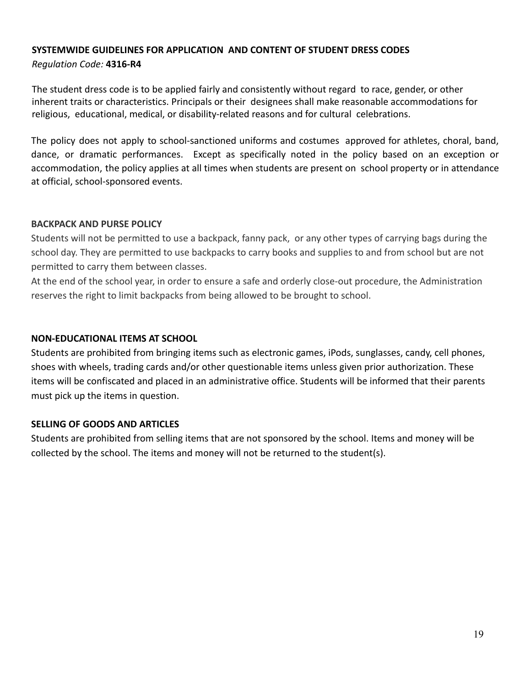#### **SYSTEMWIDE GUIDELINES FOR APPLICATION AND CONTENT OF STUDENT DRESS CODES** *Regulation Code:* **4316-R4**

The student dress code is to be applied fairly and consistently without regard to race, gender, or other inherent traits or characteristics. Principals or their designees shall make reasonable accommodations for religious, educational, medical, or disability-related reasons and for cultural celebrations.

The policy does not apply to school-sanctioned uniforms and costumes approved for athletes, choral, band, dance, or dramatic performances. Except as specifically noted in the policy based on an exception or accommodation, the policy applies at all times when students are present on school property or in attendance at official, school-sponsored events.

#### **BACKPACK AND PURSE POLICY**

Students will not be permitted to use a backpack, fanny pack, or any other types of carrying bags during the school day. They are permitted to use backpacks to carry books and supplies to and from school but are not permitted to carry them between classes.

At the end of the school year, in order to ensure a safe and orderly close-out procedure, the Administration reserves the right to limit backpacks from being allowed to be brought to school.

#### <span id="page-18-0"></span>**NON-EDUCATIONAL ITEMS AT SCHOOL**

Students are prohibited from bringing items such as electronic games, iPods, sunglasses, candy, cell phones, shoes with wheels, trading cards and/or other questionable items unless given prior authorization. These items will be confiscated and placed in an administrative office. Students will be informed that their parents must pick up the items in question.

## **SELLING OF GOODS AND ARTICLES**

Students are prohibited from selling items that are not sponsored by the school. Items and money will be collected by the school. The items and money will not be returned to the student(s).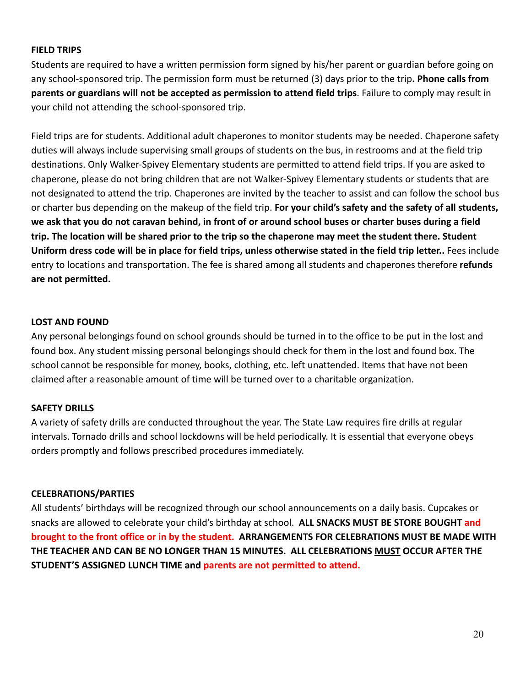#### **FIELD TRIPS**

Students are required to have a written permission form signed by his/her parent or guardian before going on any school-sponsored trip. The permission form must be returned (3) days prior to the trip**. Phone calls from parents or guardians will not be accepted as permission to attend field trips**. Failure to comply may result in your child not attending the school-sponsored trip.

Field trips are for students. Additional adult chaperones to monitor students may be needed. Chaperone safety duties will always include supervising small groups of students on the bus, in restrooms and at the field trip destinations. Only Walker-Spivey Elementary students are permitted to attend field trips. If you are asked to chaperone, please do not bring children that are not Walker-Spivey Elementary students or students that are not designated to attend the trip. Chaperones are invited by the teacher to assist and can follow the school bus or charter bus depending on the makeup of the field trip. **For your child's safety and the safety of all students, we ask that you do not caravan behind, in front of or around school buses or charter buses during a field trip. The location will be shared prior to the trip so the chaperone may meet the student there. Student Uniform dress code will be in place for field trips, unless otherwise stated in the field trip letter..** Fees include entry to locations and transportation. The fee is shared among all students and chaperones therefore **refunds are not permitted.**

#### **LOST AND FOUND**

Any personal belongings found on school grounds should be turned in to the office to be put in the lost and found box. Any student missing personal belongings should check for them in the lost and found box. The school cannot be responsible for money, books, clothing, etc. left unattended. Items that have not been claimed after a reasonable amount of time will be turned over to a charitable organization.

## **SAFETY DRILLS**

A variety of safety drills are conducted throughout the year. The State Law requires fire drills at regular intervals. Tornado drills and school lockdowns will be held periodically. It is essential that everyone obeys orders promptly and follows prescribed procedures immediately.

#### <span id="page-19-0"></span>**CELEBRATIONS/PARTIES**

All students' birthdays will be recognized through our school announcements on a daily basis. Cupcakes or snacks are allowed to celebrate your child's birthday at school. **ALL SNACKS MUST BE STORE BOUGHT and brought to the front office or in by the student. ARRANGEMENTS FOR CELEBRATIONS MUST BE MADE WITH THE TEACHER AND CAN BE NO LONGER THAN 15 MINUTES. ALL CELEBRATIONS MUST OCCUR AFTER THE STUDENT'S ASSIGNED LUNCH TIME and parents are not permitted to attend.**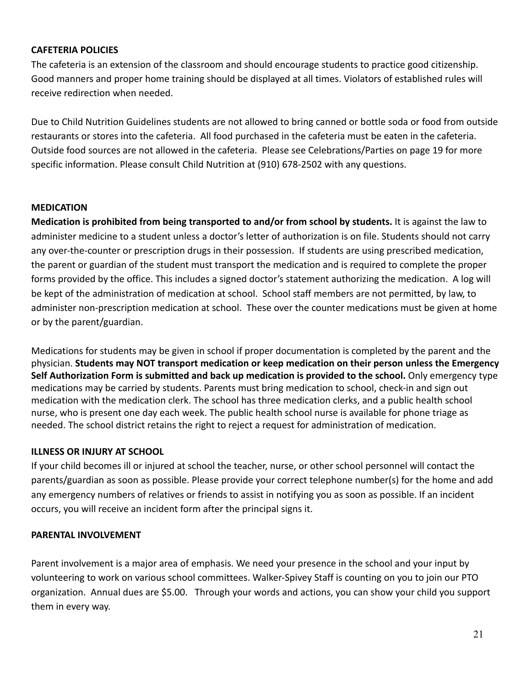## **CAFETERIA POLICIES**

The cafeteria is an extension of the classroom and should encourage students to practice good citizenship. Good manners and proper home training should be displayed at all times. Violators of established rules will receive redirection when needed.

Due to Child Nutrition Guidelines students are not allowed to bring canned or bottle soda or food from outside restaurants or stores into the cafeteria. All food purchased in the cafeteria must be eaten in the cafeteria. Outside food sources are not allowed in the cafeteria. Please see Celebrations/Parties on page 19 for more specific information. Please consult Child Nutrition at (910) 678-2502 with any questions.

#### **MEDICATION**

**Medication is prohibited from being transported to and/or from school by students.** It is against the law to administer medicine to a student unless a doctor's letter of authorization is on file. Students should not carry any over-the-counter or prescription drugs in their possession. If students are using prescribed medication, the parent or guardian of the student must transport the medication and is required to complete the proper forms provided by the office. This includes a signed doctor's statement authorizing the medication. A log will be kept of the administration of medication at school. School staff members are not permitted, by law, to administer non-prescription medication at school. These over the counter medications must be given at home or by the parent/guardian.

Medications for students may be given in school if proper documentation is completed by the parent and the physician. **Students may NOT transport medication or keep medication on their person unless the Emergency Self Authorization Form is submitted and back up medication is provided to the school.** Only emergency type medications may be carried by students. Parents must bring medication to school, check-in and sign out medication with the medication clerk. The school has three medication clerks, and a public health school nurse, who is present one day each week. The public health school nurse is available for phone triage as needed. The school district retains the right to reject a request for administration of medication.

#### **ILLNESS OR INJURY AT SCHOOL**

If your child becomes ill or injured at school the teacher, nurse, or other school personnel will contact the parents/guardian as soon as possible. Please provide your correct telephone number(s) for the home and add any emergency numbers of relatives or friends to assist in notifying you as soon as possible. If an incident occurs, you will receive an incident form after the principal signs it.

#### <span id="page-20-0"></span>**PARENTAL INVOLVEMENT**

Parent involvement is a major area of emphasis. We need your presence in the school and your input by volunteering to work on various school committees. Walker-Spivey Staff is counting on you to join our PTO organization. Annual dues are \$5.00. Through your words and actions, you can show your child you support them in every way.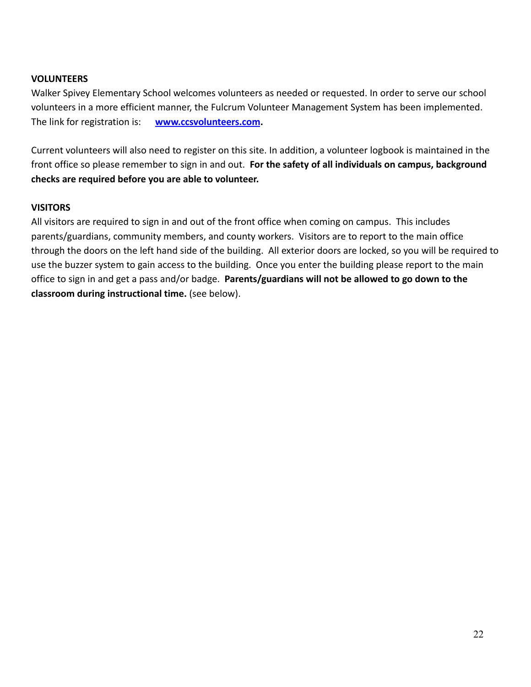#### **VOLUNTEERS**

Walker Spivey Elementary School welcomes volunteers as needed or requested. In order to serve our school volunteers in a more efficient manner, the Fulcrum Volunteer Management System has been implemented. The link for registration is: **[www.ccsvolunteers.com](http://www.ccsvolunteers.com).**

Current volunteers will also need to register on this site. In addition, a volunteer logbook is maintained in the front office so please remember to sign in and out. **For the safety of all individuals on campus, background checks are required before you are able to volunteer.**

#### **VISITORS**

All visitors are required to sign in and out of the front office when coming on campus. This includes parents/guardians, community members, and county workers. Visitors are to report to the main office through the doors on the left hand side of the building. All exterior doors are locked, so you will be required to use the buzzer system to gain access to the building. Once you enter the building please report to the main office to sign in and get a pass and/or badge. **Parents/guardians will not be allowed to go down to the classroom during instructional time.** (see below).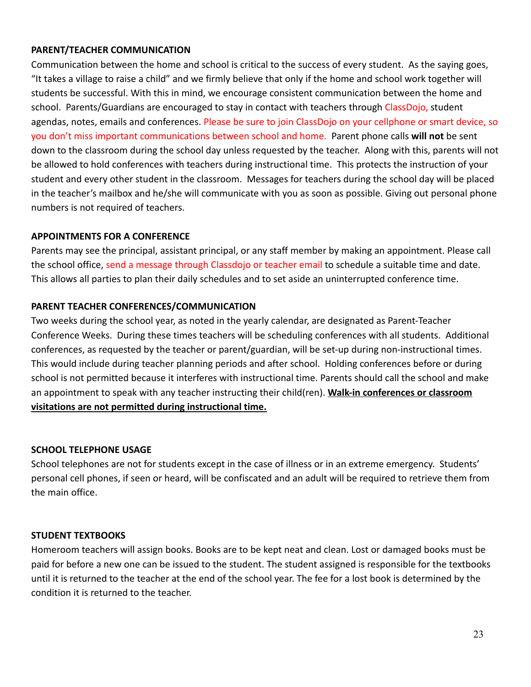#### <span id="page-22-0"></span>**PARENT/TEACHER COMMUNICATION**

Communication between the home and school is critical to the success of every student. As the saying goes, "It takes a village to raise a child" and we firmly believe that only if the home and school work together will students be successful. With this in mind, we encourage consistent communication between the home and school. Parents/Guardians are encouraged to stay in contact with teachers through ClassDojo, student agendas, notes, emails and conferences. Please be sure to join ClassDojo on your cellphone or smart device, so you don't miss important communications between school and home. Parent phone calls **will not** be sent down to the classroom during the school day unless requested by the teacher. Along with this, parents will not be allowed to hold conferences with teachers during instructional time. This protects the instruction of your student and every other student in the classroom. Messages for teachers during the school day will be placed in the teacher's mailbox and he/she will communicate with you as soon as possible. Giving out personal phone numbers is not required of teachers.

#### **APPOINTMENTS FOR A CONFERENCE**

Parents may see the principal, assistant principal, or any staff member by making an appointment. Please call the school office, send a message through Classdojo or teacher email to schedule a suitable time and date. This allows all parties to plan their daily schedules and to set aside an uninterrupted conference time.

#### **PARENT TEACHER CONFERENCES/COMMUNICATION**

Two weeks during the school year, as noted in the yearly calendar, are designated as Parent-Teacher Conference Weeks. During these times teachers will be scheduling conferences with all students. Additional conferences, as requested by the teacher or parent/guardian, will be set-up during non-instructional times. This would include during teacher planning periods and after school. Holding conferences before or during school is not permitted because it interferes with instructional time. Parents should call the school and make an appointment to speak with any teacher instructing their child(ren). **Walk-in conferences or classroom visitations are not permitted during instructional time.**

#### **SCHOOL TELEPHONE USAGE**

School telephones are not for students except in the case of illness or in an extreme emergency. Students' personal cell phones, if seen or heard, will be confiscated and an adult will be required to retrieve them from the main office.

#### **STUDENT TEXTBOOKS**

Homeroom teachers will assign books. Books are to be kept neat and clean. Lost or damaged books must be paid for before a new one can be issued to the student. The student assigned is responsible for the textbooks until it is returned to the teacher at the end of the school year. The fee for a lost book is determined by the condition it is returned to the teacher.